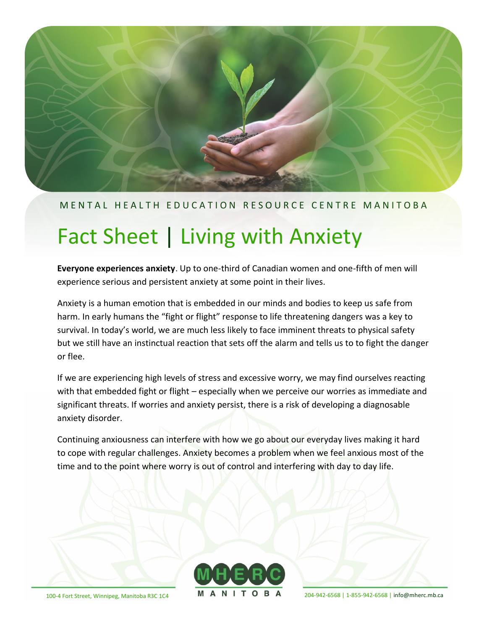

#### M E N T A L H E A L T H E D U C A T I O N R E S O U R C E C E N T R EM A N I T O B A

# Fact Sheet | Living with Anxiety

**Everyone experiences anxiety**. Up to one-third of Canadian women and one-fifth of men will experience serious and persistent anxiety at some point in their lives.

Anxiety is a human emotion that is embedded in our minds and bodies to keep us safe from harm. In early humans the "fight or flight" response to life threatening dangers was a key to survival. In today's world, we are much less likely to face imminent threats to physical safety but we still have an instinctual reaction that sets off the alarm and tells us to to fight the danger or flee.

If we are experiencing high levels of stress and excessive worry, we may find ourselves reacting with that embedded fight or flight – especially when we perceive our worries as immediate and significant threats. If worries and anxiety persist, there is a risk of developing a diagnosable anxiety disorder.

Continuing anxiousness can interfere with how we go about our everyday lives making it hard to cope with regular challenges. Anxiety becomes a problem when we feel anxious most of the time and to the point where worry is out of control and interfering with day to day life.



100-4 Fort Street, Winnipeg, Manitoba R3C 1C4 **MANIIOBA** 204-942-6568 | 1-855-942-6568 | [info@mherc.mb.ca](mailto:info@mherc.mb.ca)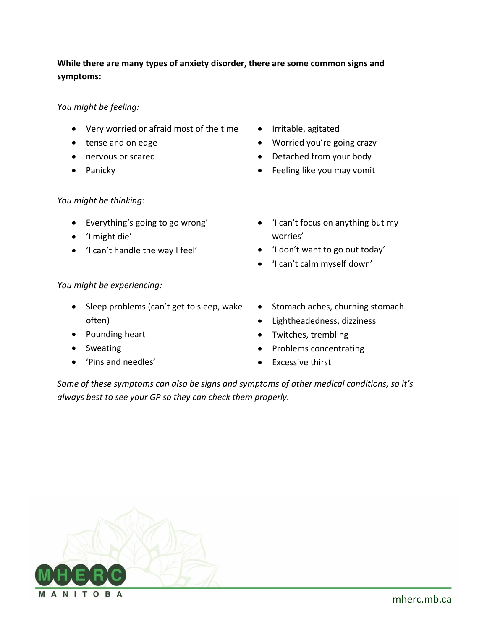#### **While there are many types of anxiety disorder, there are some common signs and symptoms:**

#### *You might be feeling:*

- Very worried or afraid most of the time
- tense and on edge
- nervous or scared
- Panicky

## *You might be thinking:*

- Everything's going to go wrong'
- 'I might die'
- 'I can't handle the way I feel'
- Irritable, agitated
- Worried you're going crazy
- Detached from your body
- Feeling like you may vomit
- 'I can't focus on anything but my worries'
- 'I don't want to go out today'
- 'I can't calm myself down'

#### *You might be experiencing:*

- Sleep problems (can't get to sleep, wake often)
- Pounding heart
- Sweating
- 'Pins and needles'
- Stomach aches, churning stomach
- Lightheadedness, dizziness
- Twitches, trembling
- Problems concentrating
- **Excessive thirst**

*Some of these symptoms can also be signs and symptoms of other medical conditions, so it's always best to see your GP so they can check them properly.*

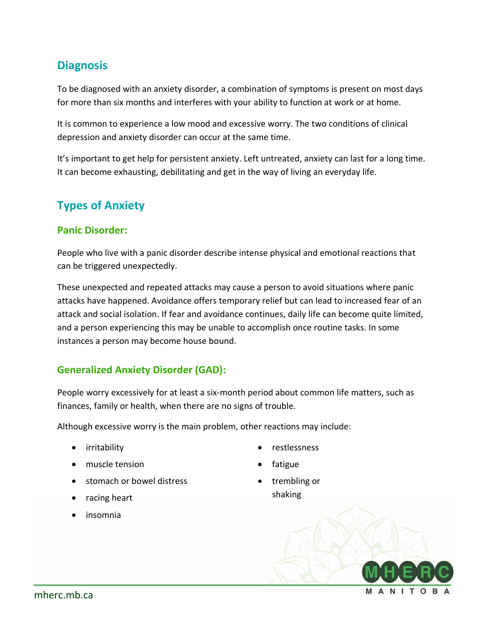# **Diagnosis**

To be diagnosed with an anxiety disorder, a combination of symptoms is present on most days for more than six months and interferes with your ability to function at work or at home.

It is common to experience a low mood and excessive worry. The two conditions of clinical depression and anxiety disorder can occur at the same time.

It's important to get help for persistent anxiety. Left untreated, anxiety can last for a long time. It can become exhausting, debilitating and get in the way of living an everyday life.

# **Types of Anxiety**

#### **Panic Disorder:**

People who live with a panic disorder describe intense physical and emotional reactions that can be triggered unexpectedly.

These unexpected and repeated attacks may cause a person to avoid situations where panic attacks have happened. Avoidance offers temporary relief but can lead to increased fear of an attack and social isolation. If fear and avoidance continues, daily life can become quite limited, and a person experiencing this may be unable to accomplish once routine tasks. In some instances a person may become house bound.

#### **Generalized Anxiety Disorder (GAD):**

People worry excessively for at least a six-month period about common life matters, such as finances, family or health, when there are no signs of trouble.

Although excessive worry is the main problem, other reactions may include:

- irritability
- muscle tension
- stomach or bowel distress
- racing heart
- insomnia
- restlessness
- fatigue
- trembling or shaking

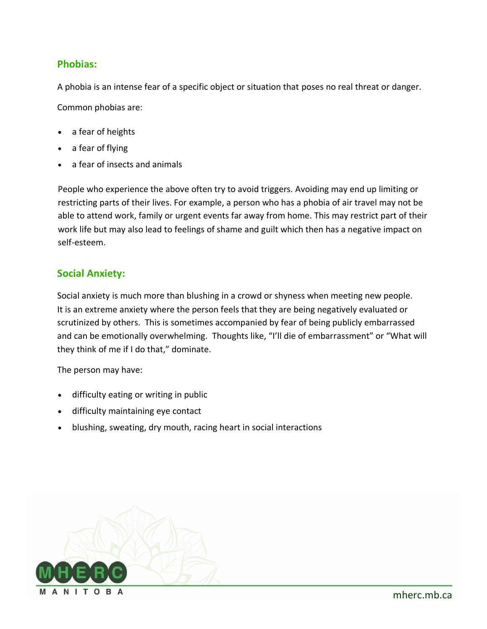#### **Phobias:**

A phobia is an intense fear of a specific object or situation that poses no real threat or danger. Common phobias are:

- a fear of heights
- a fear of flying
- a fear of insects and animals

People who experience the above often try to avoid triggers. Avoiding may end up limiting or restricting parts of their lives. For example, a person who has a phobia of air travel may not be able to attend work, family or urgent events far away from home. This may restrict part of their work life but may also lead to feelings of shame and guilt which then has a negative impact on self-esteem.

#### **Social Anxiety:**

Social anxiety is much more than blushing in a crowd or shyness when meeting new people. It is an extreme anxiety where the person feels that they are being negatively evaluated or scrutinized by others. This is sometimes accompanied by fear of being publicly embarrassed and can be emotionally overwhelming. Thoughts like, "I'll die of embarrassment" or "What will they think of me if I do that," dominate.

The person may have:

- difficulty eating or writing in public
- difficulty maintaining eye contact
- blushing, sweating, dry mouth, racing heart in social interactions

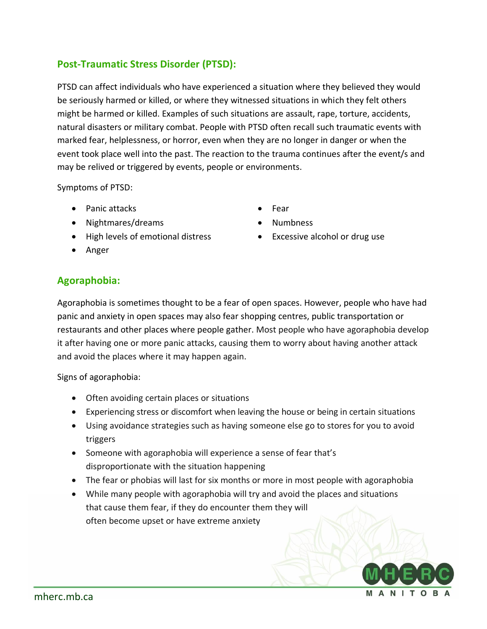#### **Post-Traumatic Stress Disorder (PTSD):**

PTSD can affect individuals who have experienced a situation where they believed they would be seriously harmed or killed, or where they witnessed situations in which they felt others might be harmed or killed. Examples of such situations are assault, rape, torture, accidents, natural disasters or military combat. People with PTSD often recall such traumatic events with marked fear, helplessness, or horror, even when they are no longer in danger or when the event took place well into the past. The reaction to the trauma continues after the event/s and may be relived or triggered by events, people or environments.

Symptoms of PTSD:

- Panic attacks
- Nightmares/dreams
- High levels of emotional distress
- Anger
- Fear
- Numbness
- Excessive alcohol or drug use

#### **Agoraphobia:**

Agoraphobia is sometimes thought to be a fear of open spaces. However, people who have had panic and anxiety in open spaces may also fear shopping centres, public transportation or restaurants and other places where people gather. Most people who have agoraphobia develop it after having one or more panic attacks, causing them to worry about having another attack and avoid the places where it may happen again.

Signs of agoraphobia:

- Often avoiding certain places or situations
- Experiencing stress or discomfort when leaving the house or being in certain situations
- Using avoidance strategies such as having someone else go to stores for you to avoid triggers
- Someone with agoraphobia will experience a sense of fear that's disproportionate with the situation happening
- The fear or phobias will last for six months or more in most people with agoraphobia
- While many people with agoraphobia will try and avoid the places and situations that cause them fear, if they do encounter them they will often become upset or have extreme anxiety

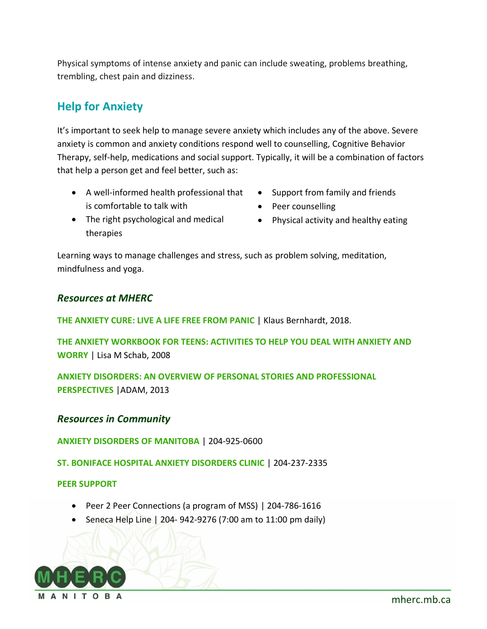Physical symptoms of intense anxiety and panic can include sweating, problems breathing, trembling, chest pain and dizziness.

# **Help for Anxiety**

It's important to seek help to manage severe anxiety which includes any of the above. Severe anxiety is common and anxiety conditions respond well to counselling, Cognitive Behavior Therapy, self-help, medications and social support. Typically, it will be a combination of factors that help a person get and feel better, such as:

- A well-informed health professional that is comfortable to talk with
- Support from family and friends
- Peer counselling
- The right psychological and medical therapies
- Physical activity and healthy eating

Learning ways to manage challenges and stress, such as problem solving, meditation, mindfulness and yoga.

#### *Resources at MHERC*

**THE ANXIETY CURE: LIVE A LIFE FREE FROM PANIC** | Klaus Bernhardt, 2018.

**THE ANXIETY WORKBOOK FOR TEENS: ACTIVITIES TO HELP YOU DEAL WITH ANXIETY AND WORRY** | Lisa M Schab, 2008

**ANXIETY DISORDERS: AN OVERVIEW OF PERSONAL STORIES AND PROFESSIONAL PERSPECTIVES** |ADAM, 2013

#### *Resources in Community*

**ANXIETY DISORDERS OF MANITOBA** | 204-925-0600

**ST. BONIFACE HOSPITAL ANXIETY DISORDERS CLINIC** | 204-237-2335

#### **PEER SUPPORT**

- Peer 2 Peer Connections (a program of MSS) | 204-786-1616
- Seneca Help Line | 204- 942-9276 (7:00 am to 11:00 pm daily)



[mherc.mb.ca](https://www.mherc.mb.ca/)